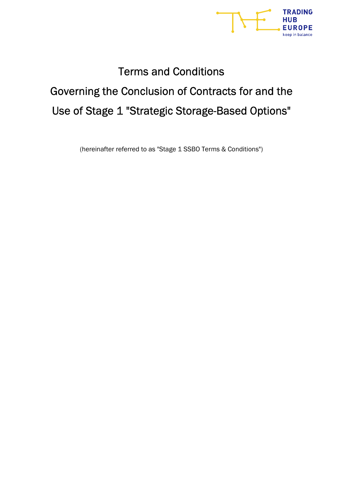

# Terms and Conditions Governing the Conclusion of Contracts for and the Use of Stage 1 "Strategic Storage-Based Options"

(hereinafter referred to as "Stage 1 SSBO Terms & Conditions")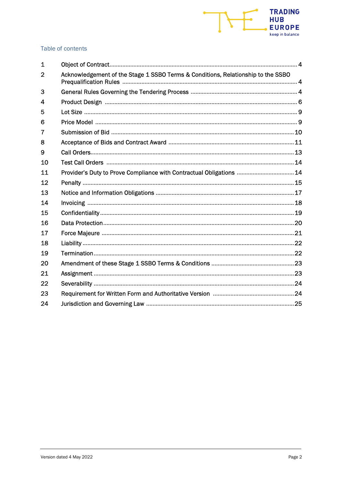

# Table of contents

| $\mathbf 1$    |                                                                                  |  |
|----------------|----------------------------------------------------------------------------------|--|
| $\overline{2}$ | Acknowledgement of the Stage 1 SSBO Terms & Conditions, Relationship to the SSBO |  |
| 3              |                                                                                  |  |
| 4              |                                                                                  |  |
| 5              |                                                                                  |  |
| 6              |                                                                                  |  |
| 7              |                                                                                  |  |
| 8              |                                                                                  |  |
| 9              |                                                                                  |  |
| 10             |                                                                                  |  |
| 11             | Provider's Duty to Prove Compliance with Contractual Obligations  14             |  |
| 12             |                                                                                  |  |
| 13             |                                                                                  |  |
| 14             |                                                                                  |  |
| 15             |                                                                                  |  |
| 16             |                                                                                  |  |
| 17             |                                                                                  |  |
| 18             |                                                                                  |  |
| 19             |                                                                                  |  |
| 20             |                                                                                  |  |
| 21             |                                                                                  |  |
| 22             |                                                                                  |  |
| 23             |                                                                                  |  |
| 24             |                                                                                  |  |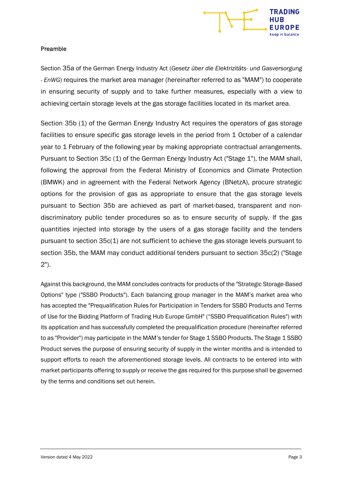

#### Preamble

Section 35a of the German Energy Industry Act (Gesetz über die Elektrizitäts- und Gasversorgung - EnWG) requires the market area manager (hereinafter referred to as "MAM") to cooperate in ensuring security of supply and to take further measures, especially with a view to achieving certain storage levels at the gas storage facilities located in its market area.

Section 35b (1) of the German Energy Industry Act requires the operators of gas storage facilities to ensure specific gas storage levels in the period from 1 October of a calendar year to 1 February of the following year by making appropriate contractual arrangements. Pursuant to Section 35c (1) of the German Energy Industry Act ("Stage 1"), the MAM shall, following the approval from the Federal Ministry of Economics and Climate Protection (BMWK) and in agreement with the Federal Network Agency (BNetzA), procure strategic options for the provision of gas as appropriate to ensure that the gas storage levels pursuant to Section 35b are achieved as part of market-based, transparent and nondiscriminatory public tender procedures so as to ensure security of supply. If the gas quantities injected into storage by the users of a gas storage facility and the tenders pursuant to section 35c(1) are not sufficient to achieve the gas storage levels pursuant to section 35b, the MAM may conduct additional tenders pursuant to section 35c(2) ("Stage 2").

Against this background, the MAM concludes contracts for products of the "Strategic Storage-Based Options" type ("SSBO Products"). Each balancing group manager in the MAM's market area who has accepted the "Prequalification Rules for Participation in Tenders for SSBO Products and Terms of Use for the Bidding Platform of Trading Hub Europe GmbH" ("SSBO Prequalification Rules") with its application and has successfully completed the prequalification procedure (hereinafter referred to as "Provider") may participate in the MAM's tender for Stage 1 SSBO Products. The Stage 1 SSBO Product serves the purpose of ensuring security of supply in the winter months and is intended to support efforts to reach the aforementioned storage levels. All contracts to be entered into with market participants offering to supply or receive the gas required for this purpose shall be governed by the terms and conditions set out herein.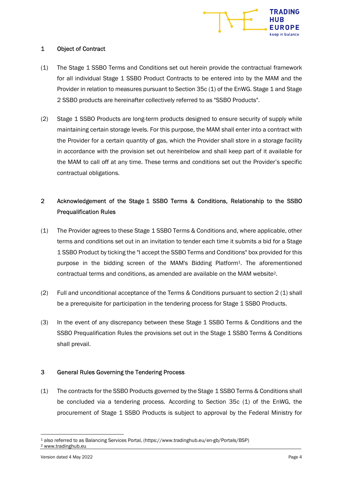

#### 1 Object of Contract

- (1) The Stage 1 SSBO Terms and Conditions set out herein provide the contractual framework for all individual Stage 1 SSBO Product Contracts to be entered into by the MAM and the Provider in relation to measures pursuant to Section 35c (1) of the EnWG. Stage 1 and Stage 2 SSBO products are hereinafter collectively referred to as "SSBO Products".
- (2) Stage 1 SSBO Products are long-term products designed to ensure security of supply while maintaining certain storage levels. For this purpose, the MAM shall enter into a contract with the Provider for a certain quantity of gas, which the Provider shall store in a storage facility in accordance with the provision set out hereinbelow and shall keep part of it available for the MAM to call off at any time. These terms and conditions set out the Provider's specific contractual obligations.

# 2 Acknowledgement of the Stage 1 SSBO Terms & Conditions, Relationship to the SSBO Prequalification Rules

- (1) The Provider agrees to these Stage 1 SSBO Terms & Conditions and, where applicable, other terms and conditions set out in an invitation to tender each time it submits a bid for a Stage 1 SSBO Product by ticking the "I accept the SSBO Terms and Conditions" box provided for this purpose in the bidding screen of the MAM's Bidding Platform1. The aforementioned contractual terms and conditions, as amended are available on the MAM website2.
- (2) Full and unconditional acceptance of the Terms & Conditions pursuant to section 2 (1) shall be a prerequisite for participation in the tendering process for Stage 1 SSBO Products.
- (3) In the event of any discrepancy between these Stage 1 SSBO Terms & Conditions and the SSBO Prequalification Rules the provisions set out in the Stage 1 SSBO Terms & Conditions shall prevail.

# 3 General Rules Governing the Tendering Process

(1) The contracts for the SSBO Products governed by the Stage 1 SSBO Terms & Conditions shall be concluded via a tendering process. According to Section 35c (1) of the EnWG, the procurement of Stage 1 SSBO Products is subject to approval by the Federal Ministry for

<sup>1</sup> also referred to as Balancing Services Portal, (https://www.tradinghub.eu/en-gb/Portals/BSP) 2 www.tradinghub.eu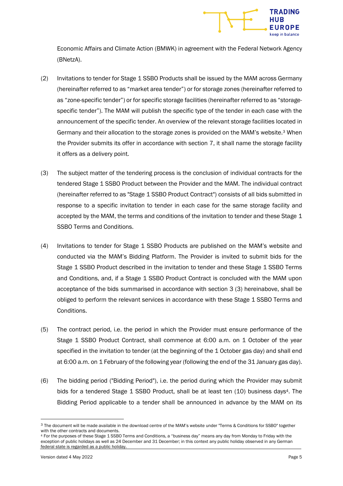

Economic Affairs and Climate Action (BMWK) in agreement with the Federal Network Agency (BNetzA).

- (2) Invitations to tender for Stage 1 SSBO Products shall be issued by the MAM across Germany (hereinafter referred to as "market area tender") or for storage zones (hereinafter referred to as "zone-specific tender") or for specific storage facilities (hereinafter referred to as "storagespecific tender"). The MAM will publish the specific type of the tender in each case with the announcement of the specific tender. An overview of the relevant storage facilities located in Germany and their allocation to the storage zones is provided on the MAM's website.3 When the Provider submits its offer in accordance with section 7, it shall name the storage facility it offers as a delivery point.
- (3) The subject matter of the tendering process is the conclusion of individual contracts for the tendered Stage 1 SSBO Product between the Provider and the MAM. The individual contract (hereinafter referred to as "Stage 1 SSBO Product Contract") consists of all bids submitted in response to a specific invitation to tender in each case for the same storage facility and accepted by the MAM, the terms and conditions of the invitation to tender and these Stage 1 SSBO Terms and Conditions.
- (4) Invitations to tender for Stage 1 SSBO Products are published on the MAM's website and conducted via the MAM's Bidding Platform. The Provider is invited to submit bids for the Stage 1 SSBO Product described in the invitation to tender and these Stage 1 SSBO Terms and Conditions, and, if a Stage 1 SSBO Product Contract is concluded with the MAM upon acceptance of the bids summarised in accordance with section 3 (3) hereinabove, shall be obliged to perform the relevant services in accordance with these Stage 1 SSBO Terms and Conditions.
- (5) The contract period, i.e. the period in which the Provider must ensure performance of the Stage 1 SSBO Product Contract, shall commence at 6:00 a.m. on 1 October of the year specified in the invitation to tender (at the beginning of the 1 October gas day) and shall end at 6:00 a.m. on 1 February of the following year (following the end of the 31 January gas day).
- (6) The bidding period ("Bidding Period"), i.e. the period during which the Provider may submit bids for a tendered Stage 1 SSBO Product, shall be at least ten (10) business days<sup>4</sup>. The Bidding Period applicable to a tender shall be announced in advance by the MAM on its

<sup>3</sup> The document will be made available in the download centre of the MAM's website under "Terms & Conditions for SSBO" together with the other contracts and documents.

<sup>4</sup> For the purposes of these Stage 1 SSBO Terms and Conditions, a "business day" means any day from Monday to Friday with the exception of public holidays as well as 24 December and 31 December; in this context any public holiday observed in any German federal state is regarded as a public holiday.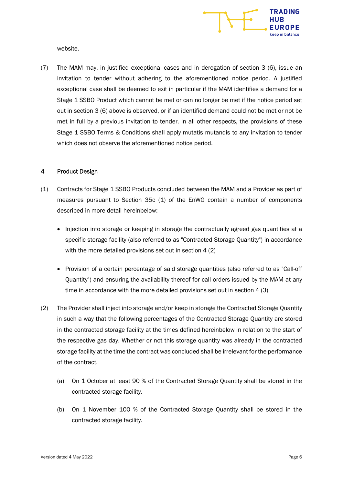

website.

(7) The MAM may, in justified exceptional cases and in derogation of section 3 (6), issue an invitation to tender without adhering to the aforementioned notice period. A justified exceptional case shall be deemed to exit in particular if the MAM identifies a demand for a Stage 1 SSBO Product which cannot be met or can no longer be met if the notice period set out in section 3 (6) above is observed, or if an identified demand could not be met or not be met in full by a previous invitation to tender. In all other respects, the provisions of these Stage 1 SSBO Terms & Conditions shall apply mutatis mutandis to any invitation to tender which does not observe the aforementioned notice period.

#### 4 Product Design

- (1) Contracts for Stage 1 SSBO Products concluded between the MAM and a Provider as part of measures pursuant to Section 35c (1) of the EnWG contain a number of components described in more detail hereinbelow:
	- Injection into storage or keeping in storage the contractually agreed gas quantities at a specific storage facility (also referred to as "Contracted Storage Quantity") in accordance with the more detailed provisions set out in section 4 (2)
	- Provision of a certain percentage of said storage quantities (also referred to as "Call-off" Quantity") and ensuring the availability thereof for call orders issued by the MAM at any time in accordance with the more detailed provisions set out in section 4 (3)
- (2) The Provider shall inject into storage and/or keep in storage the Contracted Storage Quantity in such a way that the following percentages of the Contracted Storage Quantity are stored in the contracted storage facility at the times defined hereinbelow in relation to the start of the respective gas day. Whether or not this storage quantity was already in the contracted storage facility at the time the contract was concluded shall be irrelevant for the performance of the contract.
	- (a) On 1 October at least 90 % of the Contracted Storage Quantity shall be stored in the contracted storage facility.
	- (b) On 1 November 100 % of the Contracted Storage Quantity shall be stored in the contracted storage facility.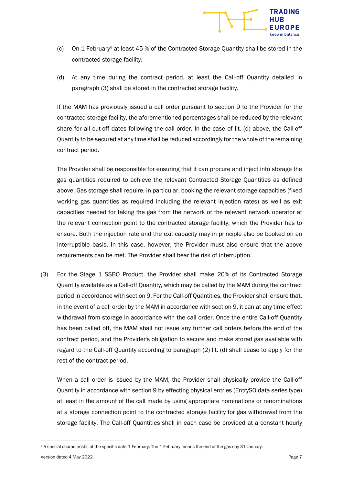

- (c) On 1 February<sup>5</sup> at least 45 % of the Contracted Storage Quantity shall be stored in the contracted storage facility.
- (d) At any time during the contract period, at least the Call-off Quantity detailed in paragraph (3) shall be stored in the contracted storage facility.

If the MAM has previously issued a call order pursuant to section 9 to the Provider for the contracted storage facility, the aforementioned percentages shall be reduced by the relevant share for all cut-off dates following the call order. In the case of lit. (d) above, the Call-off Quantity to be secured at any time shall be reduced accordingly for the whole of the remaining contract period.

The Provider shall be responsible for ensuring that it can procure and inject into storage the gas quantities required to achieve the relevant Contracted Storage Quantities as defined above. Gas storage shall require, in particular, booking the relevant storage capacities (fixed working gas quantities as required including the relevant injection rates) as well as exit capacities needed for taking the gas from the network of the relevant network operator at the relevant connection point to the contracted storage facility, which the Provider has to ensure. Both the injection rate and the exit capacity may in principle also be booked on an interruptible basis. In this case, however, the Provider must also ensure that the above requirements can be met. The Provider shall bear the risk of interruption.

(3) For the Stage 1 SSBO Product, the Provider shall make 20% of its Contracted Storage Quantity available as a Call-off Quantity, which may be called by the MAM during the contract period in accordance with section 9. For the Call-off Quantities, the Provider shall ensure that, in the event of a call order by the MAM in accordance with section 9, it can at any time effect withdrawal from storage in accordance with the call order. Once the entire Call-off Quantity has been called off, the MAM shall not issue any further call orders before the end of the contract period, and the Provider's obligation to secure and make stored gas available with regard to the Call-off Quantity according to paragraph (2) lit. (d) shall cease to apply for the rest of the contract period.

When a call order is issued by the MAM, the Provider shall physically provide the Call-off Quantity in accordance with section 9 by effecting physical entries (EntrySO data series type) at least in the amount of the call made by using appropriate nominations or renominations at a storage connection point to the contracted storage facility for gas withdrawal from the storage facility. The Call-off Quantities shall in each case be provided at a constant hourly

<sup>5</sup> A special characteristic of the specific date 1 February: The 1 February means the end of the gas day 31 January.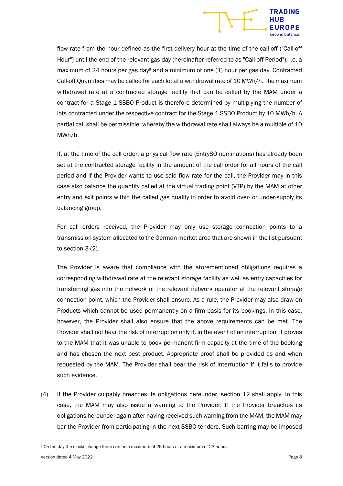

flow rate from the hour defined as the first delivery hour at the time of the call-off ("Call-off Hour") until the end of the relevant gas day (hereinafter referred to as "Call-off Period"), i.e. a maximum of 24 hours per gas day $\epsilon$  and a minimum of one (1) hour per gas day. Contracted Call-off Quantities may be called for each lot at a withdrawal rate of 10 MWh/h. The maximum withdrawal rate at a contracted storage facility that can be called by the MAM under a contract for a Stage 1 SSBO Product is therefore determined by multiplying the number of lots contracted under the respective contract for the Stage 1 SSBO Product by 10 MWh/h. A partial call shall be permissible, whereby the withdrawal rate shall always be a multiple of 10 MWh/h.

If, at the time of the call order, a physical flow rate (EntrySO nominations) has already been set at the contracted storage facility in the amount of the call order for all hours of the call period and if the Provider wants to use said flow rate for the call, the Provider may in this case also balance the quantity called at the virtual trading point (VTP) by the MAM at other entry and exit points within the called gas quality in order to avoid over- or under-supply its balancing group.

For call orders received, the Provider may only use storage connection points to a transmission system allocated to the German market area that are shown in the list pursuant to section 3 (2).

The Provider is aware that compliance with the aforementioned obligations requires a corresponding withdrawal rate at the relevant storage facility as well as entry capacities for transferring gas into the network of the relevant network operator at the relevant storage connection point, which the Provider shall ensure. As a rule, the Provider may also draw on Products which cannot be used permanently on a firm basis for its bookings. In this case, however, the Provider shall also ensure that the above requirements can be met. The Provider shall not bear the risk of interruption only if, in the event of an interruption, it proves to the MAM that it was unable to book permanent firm capacity at the time of the booking and has chosen the next best product. Appropriate proof shall be provided as and when requested by the MAM. The Provider shall bear the risk of interruption if it fails to provide such evidence.

(4) If the Provider culpably breaches its obligations hereunder, section 12 shall apply. In this case, the MAM may also issue a warning to the Provider. If the Provider breaches its obligations hereunder again after having received such warning from the MAM, the MAM may bar the Provider from participating in the next SSBO tenders. Such barring may be imposed

<sup>&</sup>lt;sup>6</sup> On the day the clocks change there can be a maximum of 25 hours or a maximum of 23 hours.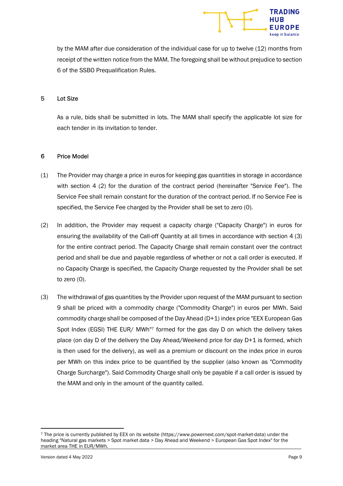

by the MAM after due consideration of the individual case for up to twelve (12) months from receipt of the written notice from the MAM. The foregoing shall be without prejudice to section 6 of the SSBO Prequalification Rules.

#### 5 Lot Size

As a rule, bids shall be submitted in lots. The MAM shall specify the applicable lot size for each tender in its invitation to tender.

#### 6 Price Model

- (1) The Provider may charge a price in euros for keeping gas quantities in storage in accordance with section 4 (2) for the duration of the contract period (hereinafter "Service Fee"). The Service Fee shall remain constant for the duration of the contract period. If no Service Fee is specified, the Service Fee charged by the Provider shall be set to zero (0).
- (2) In addition, the Provider may request a capacity charge ("Capacity Charge") in euros for ensuring the availability of the Call-off Quantity at all times in accordance with section 4 (3) for the entire contract period. The Capacity Charge shall remain constant over the contract period and shall be due and payable regardless of whether or not a call order is executed. If no Capacity Charge is specified, the Capacity Charge requested by the Provider shall be set to zero (0).
- (3) The withdrawal of gas quantities by the Provider upon request of the MAM pursuant to section 9 shall be priced with a commodity charge ("Commodity Charge") in euros per MWh. Said commodity charge shall be composed of the Day Ahead (D+1) index price "EEX European Gas Spot Index (EGSI) THE EUR/ MWh"7 formed for the gas day D on which the delivery takes place (on day D of the delivery the Day Ahead/Weekend price for day D+1 is formed, which is then used for the delivery), as well as a premium or discount on the index price in euros per MWh on this index price to be quantified by the supplier (also known as "Commodity Charge Surcharge"). Said Commodity Charge shall only be payable if a call order is issued by the MAM and only in the amount of the quantity called.

<sup>7</sup> The price is currently published by EEX on its website (https://www.powernext.com/spot-market-data) under the heading "Natural gas markets > Spot market data > Day Ahead and Weekend > European Gas Spot Index" for the market area THE in EUR/MWh.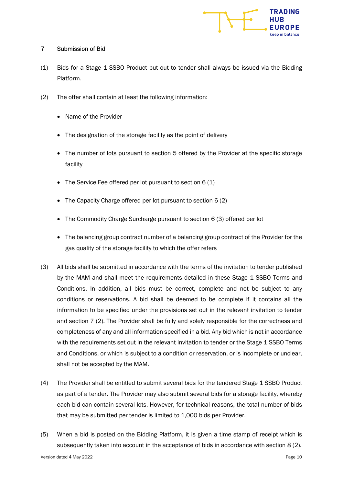

# 7 Submission of Bid

- (1) Bids for a Stage 1 SSBO Product put out to tender shall always be issued via the Bidding Platform.
- (2) The offer shall contain at least the following information:
	- Name of the Provider
	- The designation of the storage facility as the point of delivery
	- The number of lots pursuant to section 5 offered by the Provider at the specific storage facility
	- The Service Fee offered per lot pursuant to section 6 (1)
	- The Capacity Charge offered per lot pursuant to section 6 (2)
	- The Commodity Charge Surcharge pursuant to section 6 (3) offered per lot
	- The balancing group contract number of a balancing group contract of the Provider for the gas quality of the storage facility to which the offer refers
- (3) All bids shall be submitted in accordance with the terms of the invitation to tender published by the MAM and shall meet the requirements detailed in these Stage 1 SSBO Terms and Conditions. In addition, all bids must be correct, complete and not be subject to any conditions or reservations. A bid shall be deemed to be complete if it contains all the information to be specified under the provisions set out in the relevant invitation to tender and section 7 (2). The Provider shall be fully and solely responsible for the correctness and completeness of any and all information specified in a bid. Any bid which is not in accordance with the requirements set out in the relevant invitation to tender or the Stage 1 SSBO Terms and Conditions, or which is subject to a condition or reservation, or is incomplete or unclear, shall not be accepted by the MAM.
- (4) The Provider shall be entitled to submit several bids for the tendered Stage 1 SSBO Product as part of a tender. The Provider may also submit several bids for a storage facility, whereby each bid can contain several lots. However, for technical reasons, the total number of bids that may be submitted per tender is limited to 1,000 bids per Provider.
- (5) When a bid is posted on the Bidding Platform, it is given a time stamp of receipt which is subsequently taken into account in the acceptance of bids in accordance with section 8 (2).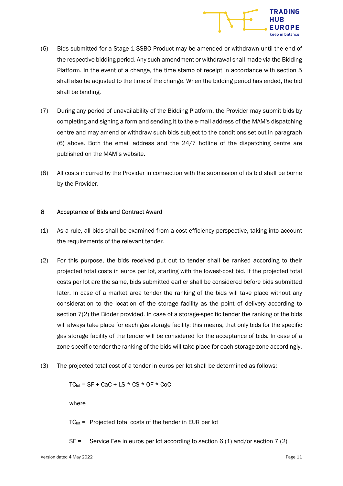

- (6) Bids submitted for a Stage 1 SSBO Product may be amended or withdrawn until the end of the respective bidding period. Any such amendment or withdrawal shall made via the Bidding Platform. In the event of a change, the time stamp of receipt in accordance with section 5 shall also be adjusted to the time of the change. When the bidding period has ended, the bid shall be binding.
- (7) During any period of unavailability of the Bidding Platform, the Provider may submit bids by completing and signing a form and sending it to the e-mail address of the MAM's dispatching centre and may amend or withdraw such bids subject to the conditions set out in paragraph (6) above. Both the email address and the 24/7 hotline of the dispatching centre are published on the MAM's website.
- (8) All costs incurred by the Provider in connection with the submission of its bid shall be borne by the Provider.

#### 8 Acceptance of Bids and Contract Award

- (1) As a rule, all bids shall be examined from a cost efficiency perspective, taking into account the requirements of the relevant tender.
- (2) For this purpose, the bids received put out to tender shall be ranked according to their projected total costs in euros per lot, starting with the lowest-cost bid. If the projected total costs per lot are the same, bids submitted earlier shall be considered before bids submitted later. In case of a market area tender the ranking of the bids will take place without any consideration to the location of the storage facility as the point of delivery according to section 7(2) the Bidder provided. In case of a storage-specific tender the ranking of the bids will always take place for each gas storage facility; this means, that only bids for the specific gas storage facility of the tender will be considered for the acceptance of bids. In case of a zone-specific tender the ranking of the bids will take place for each storage zone accordingly.
- (3) The projected total cost of a tender in euros per lot shall be determined as follows:

 $TC_{\text{tot}} = SF + CAC + LS * CS * OF * COC$ 

where

 $TC_{\text{tot}}$  = Projected total costs of the tender in EUR per lot

SF = Service Fee in euros per lot according to section 6 (1) and/or section 7 (2)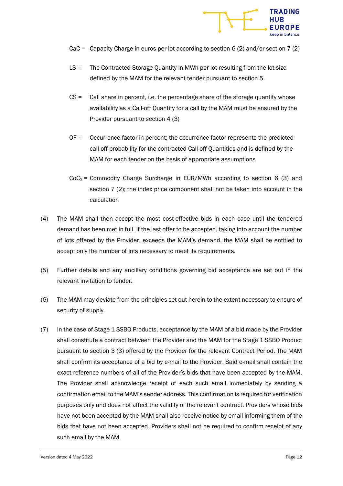

- CaC = Capacity Charge in euros per lot according to section 6 (2) and/or section 7 (2)
- LS = The Contracted Storage Quantity in MWh per lot resulting from the lot size defined by the MAM for the relevant tender pursuant to section 5.
- CS = Call share in percent, i.e. the percentage share of the storage quantity whose availability as a Call-off Quantity for a call by the MAM must be ensured by the Provider pursuant to section 4 (3)
- OF = Occurrence factor in percent; the occurrence factor represents the predicted call-off probability for the contracted Call-off Quantities and is defined by the MAM for each tender on the basis of appropriate assumptions
- $CoCs = Commodity Charge Structure in EUR/MWh according to section 6 (3) and$ section 7 (2); the index price component shall not be taken into account in the calculation
- (4) The MAM shall then accept the most cost-effective bids in each case until the tendered demand has been met in full. If the last offer to be accepted, taking into account the number of lots offered by the Provider, exceeds the MAM's demand, the MAM shall be entitled to accept only the number of lots necessary to meet its requirements.
- (5) Further details and any ancillary conditions governing bid acceptance are set out in the relevant invitation to tender.
- (6) The MAM may deviate from the principles set out herein to the extent necessary to ensure of security of supply.
- (7) In the case of Stage 1 SSBO Products, acceptance by the MAM of a bid made by the Provider shall constitute a contract between the Provider and the MAM for the Stage 1 SSBO Product pursuant to section 3 (3) offered by the Provider for the relevant Contract Period. The MAM shall confirm its acceptance of a bid by e-mail to the Provider. Said e-mail shall contain the exact reference numbers of all of the Provider's bids that have been accepted by the MAM. The Provider shall acknowledge receipt of each such email immediately by sending a confirmation email to the MAM's sender address. This confirmation is required for verification purposes only and does not affect the validity of the relevant contract. Providers whose bids have not been accepted by the MAM shall also receive notice by email informing them of the bids that have not been accepted. Providers shall not be required to confirm receipt of any such email by the MAM.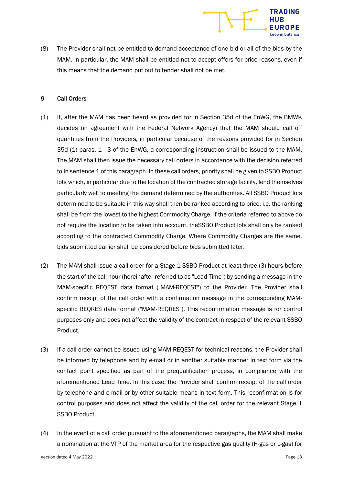

(8) The Provider shall not be entitled to demand acceptance of one bid or all of the bids by the MAM. In particular, the MAM shall be entitled not to accept offers for price reasons, even if this means that the demand put out to tender shall not be met.

#### 9 Call Orders

- (1) If, after the MAM has been heard as provided for in Section 35d of the EnWG, the BMWK decides (in agreement with the Federal Network Agency) that the MAM should call off quantities from the Providers, in particular because of the reasons provided for in Section 35d (1) paras. 1 - 3 of the EnWG, a corresponding instruction shall be issued to the MAM. The MAM shall then issue the necessary call orders in accordance with the decision referred to in sentence 1 of this paragraph. In these call orders, priority shall be given to SSBO Product lots which, in particular due to the location of the contracted storage facility, lend themselves particularly well to meeting the demand determined by the authorities. All SSBO Product lots determined to be suitable in this way shall then be ranked according to price, i.e. the ranking shall be from the lowest to the highest Commodity Charge. If the criteria referred to above do not require the location to be taken into account, theSSBO Product lots shall only be ranked according to the contracted Commodity Charge. Where Commodity Charges are the same, bids submitted earlier shall be considered before bids submitted later.
- (2) The MAM shall issue a call order for a Stage 1 SSBO Product at least three (3) hours before the start of the call hour (hereinafter referred to as "Lead Time") by sending a message in the MAM-specific REQEST data format ("MAM-REQEST") to the Provider. The Provider shall confirm receipt of the call order with a confirmation message in the corresponding MAMspecific REQRES data format ("MAM-REQRES"). This reconfirmation message is for control purposes only and does not affect the validity of the contract in respect of the relevant SSBO Product.
- (3) If a call order cannot be issued using MAM-REQEST for technical reasons, the Provider shall be informed by telephone and by e-mail or in another suitable manner in text form via the contact point specified as part of the prequalification process, in compliance with the aforementioned Lead Time. In this case, the Provider shall confirm receipt of the call order by telephone and e-mail or by other suitable means in text form. This reconfirmation is for control purposes and does not affect the validity of the call order for the relevant Stage 1 SSBO Product.
- (4) In the event of a call order pursuant to the aforementioned paragraphs, the MAM shall make a nomination at the VTP of the market area for the respective gas quality (H-gas or L-gas) for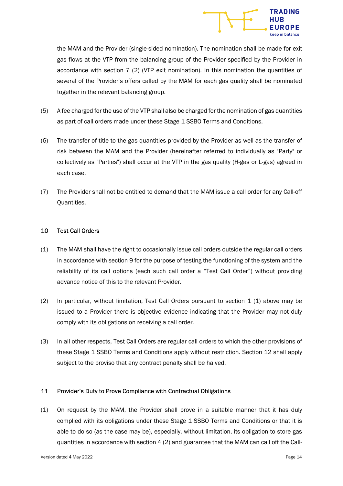

the MAM and the Provider (single-sided nomination). The nomination shall be made for exit gas flows at the VTP from the balancing group of the Provider specified by the Provider in accordance with section 7 (2) (VTP exit nomination). In this nomination the quantities of several of the Provider's offers called by the MAM for each gas quality shall be nominated together in the relevant balancing group.

- (5) A fee charged for the use of the VTP shall also be charged for the nomination of gas quantities as part of call orders made under these Stage 1 SSBO Terms and Conditions.
- (6) The transfer of title to the gas quantities provided by the Provider as well as the transfer of risk between the MAM and the Provider (hereinafter referred to individually as "Party" or collectively as "Parties") shall occur at the VTP in the gas quality (H-gas or L-gas) agreed in each case.
- (7) The Provider shall not be entitled to demand that the MAM issue a call order for any Call-off Quantities.

#### 10 Test Call Orders

- (1) The MAM shall have the right to occasionally issue call orders outside the regular call orders in accordance with section 9 for the purpose of testing the functioning of the system and the reliability of its call options (each such call order a "Test Call Order") without providing advance notice of this to the relevant Provider.
- (2) In particular, without limitation, Test Call Orders pursuant to section  $1(1)$  above may be issued to a Provider there is objective evidence indicating that the Provider may not duly comply with its obligations on receiving a call order.
- (3) In all other respects, Test Call Orders are regular call orders to which the other provisions of these Stage 1 SSBO Terms and Conditions apply without restriction. Section 12 shall apply subject to the proviso that any contract penalty shall be halved.

# 11 Provider's Duty to Prove Compliance with Contractual Obligations

(1) On request by the MAM, the Provider shall prove in a suitable manner that it has duly complied with its obligations under these Stage 1 SSBO Terms and Conditions or that it is able to do so (as the case may be), especially, without limitation, its obligation to store gas quantities in accordance with section 4 (2) and guarantee that the MAM can call off the Call-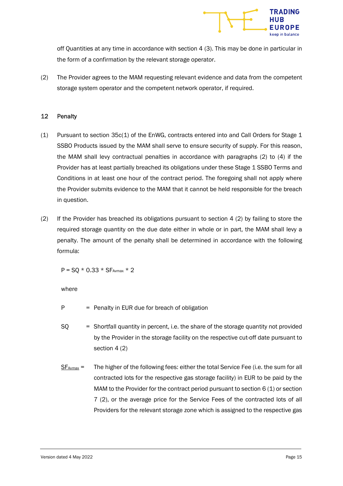

off Quantities at any time in accordance with section 4 (3). This may be done in particular in the form of a confirmation by the relevant storage operator.

(2) The Provider agrees to the MAM requesting relevant evidence and data from the competent storage system operator and the competent network operator, if required.

## 12 Penalty

- (1) Pursuant to section 35c(1) of the EnWG, contracts entered into and Call Orders for Stage 1 SSBO Products issued by the MAM shall serve to ensure security of supply. For this reason, the MAM shall levy contractual penalties in accordance with paragraphs (2) to (4) if the Provider has at least partially breached its obligations under these Stage 1 SSBO Terms and Conditions in at least one hour of the contract period. The foregoing shall not apply where the Provider submits evidence to the MAM that it cannot be held responsible for the breach in question.
- (2) If the Provider has breached its obligations pursuant to section 4 (2) by failing to store the required storage quantity on the due date either in whole or in part, the MAM shall levy a penalty. The amount of the penalty shall be determined in accordance with the following formula:

 $P = SO * 0.33 * SF$ <sub>Avmax</sub> \* 2

where

- $P =$  Penalty in EUR due for breach of obligation
- SQ = Shortfall quantity in percent, i.e. the share of the storage quantity not provided by the Provider in the storage facility on the respective cut-off date pursuant to section 4 (2)
- $S_{\text{F}}$ <sub>Avmax</sub> = The higher of the following fees: either the total Service Fee (i.e. the sum for all contracted lots for the respective gas storage facility) in EUR to be paid by the MAM to the Provider for the contract period pursuant to section  $6(1)$  or section 7 (2), or the average price for the Service Fees of the contracted lots of all Providers for the relevant storage zone which is assigned to the respective gas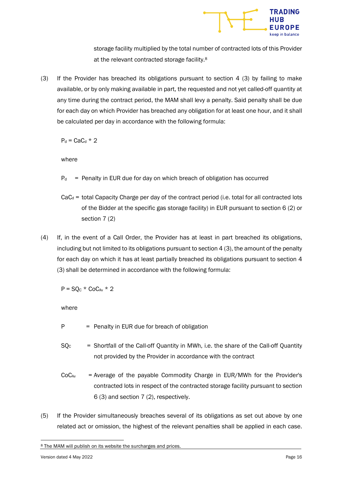

storage facility multiplied by the total number of contracted lots of this Provider at the relevant contracted storage facility.<sup>8</sup>

(3) If the Provider has breached its obligations pursuant to section 4 (3) by failing to make available, or by only making available in part, the requested and not yet called-off quantity at any time during the contract period, the MAM shall levy a penalty. Said penalty shall be due for each day on which Provider has breached any obligation for at least one hour, and it shall be calculated per day in accordance with the following formula:

 $P_d =$ CaC<sub>d</sub>  $*$  2

where

- $P<sub>d</sub>$  = Penalty in EUR due for day on which breach of obligation has occurred
- $CaC<sub>d</sub>$  = total Capacity Charge per day of the contract period (i.e. total for all contracted lots of the Bidder at the specific gas storage facility) in EUR pursuant to section 6 (2) or section 7 (2)
- (4) If, in the event of a Call Order, the Provider has at least in part breached its obligations, including but not limited to its obligations pursuant to section 4 (3), the amount of the penalty for each day on which it has at least partially breached its obligations pursuant to section 4 (3) shall be determined in accordance with the following formula:

 $P = SO<sub>C</sub> * COC<sub>Av</sub> * 2$ 

where

- $P =$  Penalty in EUR due for breach of obligation
- $SO<sub>c</sub>$  = Shortfall of the Call-off Quantity in MWh, i.e. the share of the Call-off Quantity not provided by the Provider in accordance with the contract
- $CoC_{Av}$  = Average of the payable Commodity Charge in EUR/MWh for the Provider's contracted lots in respect of the contracted storage facility pursuant to section 6 (3) and section 7 (2), respectively.
- (5) If the Provider simultaneously breaches several of its obligations as set out above by one related act or omission, the highest of the relevant penalties shall be applied in each case.

<sup>8</sup> The MAM will publish on its website the surcharges and prices.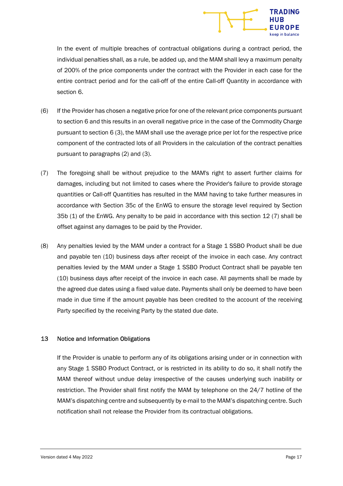

In the event of multiple breaches of contractual obligations during a contract period, the individual penalties shall, as a rule, be added up, and the MAM shall levy a maximum penalty of 200% of the price components under the contract with the Provider in each case for the entire contract period and for the call-off of the entire Call-off Quantity in accordance with section 6.

- (6) If the Provider has chosen a negative price for one of the relevant price components pursuant to section 6 and this results in an overall negative price in the case of the Commodity Charge pursuant to section 6 (3), the MAM shall use the average price per lot for the respective price component of the contracted lots of all Providers in the calculation of the contract penalties pursuant to paragraphs (2) and (3).
- (7) The foregoing shall be without prejudice to the MAM's right to assert further claims for damages, including but not limited to cases where the Provider's failure to provide storage quantities or Call-off Quantities has resulted in the MAM having to take further measures in accordance with Section 35c of the EnWG to ensure the storage level required by Section 35b (1) of the EnWG. Any penalty to be paid in accordance with this section 12 (7) shall be offset against any damages to be paid by the Provider.
- (8) Any penalties levied by the MAM under a contract for a Stage 1 SSBO Product shall be due and payable ten (10) business days after receipt of the invoice in each case. Any contract penalties levied by the MAM under a Stage 1 SSBO Product Contract shall be payable ten (10) business days after receipt of the invoice in each case. All payments shall be made by the agreed due dates using a fixed value date. Payments shall only be deemed to have been made in due time if the amount payable has been credited to the account of the receiving Party specified by the receiving Party by the stated due date.

# 13 Notice and Information Obligations

If the Provider is unable to perform any of its obligations arising under or in connection with any Stage 1 SSBO Product Contract, or is restricted in its ability to do so, it shall notify the MAM thereof without undue delay irrespective of the causes underlying such inability or restriction. The Provider shall first notify the MAM by telephone on the 24/7 hotline of the MAM's dispatching centre and subsequently by e-mail to the MAM's dispatching centre. Such notification shall not release the Provider from its contractual obligations.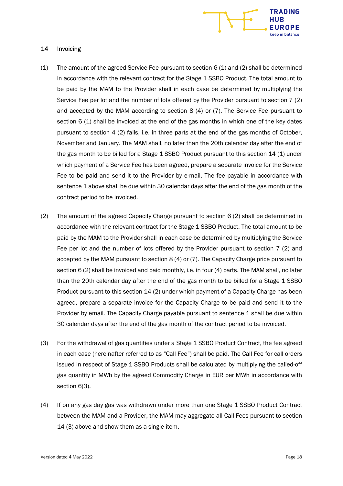

#### 14 Invoicing

- (1) The amount of the agreed Service Fee pursuant to section  $6(1)$  and (2) shall be determined in accordance with the relevant contract for the Stage 1 SSBO Product. The total amount to be paid by the MAM to the Provider shall in each case be determined by multiplying the Service Fee per lot and the number of lots offered by the Provider pursuant to section 7 (2) and accepted by the MAM according to section 8 (4) or (7). The Service Fee pursuant to section 6 (1) shall be invoiced at the end of the gas months in which one of the key dates pursuant to section 4 (2) falls, i.e. in three parts at the end of the gas months of October, November and January. The MAM shall, no later than the 20th calendar day after the end of the gas month to be billed for a Stage 1 SSBO Product pursuant to this section 14 (1) under which payment of a Service Fee has been agreed, prepare a separate invoice for the Service Fee to be paid and send it to the Provider by e-mail. The fee payable in accordance with sentence 1 above shall be due within 30 calendar days after the end of the gas month of the contract period to be invoiced.
- (2) The amount of the agreed Capacity Charge pursuant to section 6 (2) shall be determined in accordance with the relevant contract for the Stage 1 SSBO Product. The total amount to be paid by the MAM to the Provider shall in each case be determined by multiplying the Service Fee per lot and the number of lots offered by the Provider pursuant to section 7 (2) and accepted by the MAM pursuant to section 8 (4) or (7). The Capacity Charge price pursuant to section 6 (2) shall be invoiced and paid monthly, i.e. in four (4) parts. The MAM shall, no later than the 20th calendar day after the end of the gas month to be billed for a Stage 1 SSBO Product pursuant to this section 14 (2) under which payment of a Capacity Charge has been agreed, prepare a separate invoice for the Capacity Charge to be paid and send it to the Provider by email. The Capacity Charge payable pursuant to sentence 1 shall be due within 30 calendar days after the end of the gas month of the contract period to be invoiced.
- (3) For the withdrawal of gas quantities under a Stage 1 SSBO Product Contract, the fee agreed in each case (hereinafter referred to as "Call Fee") shall be paid. The Call Fee for call orders issued in respect of Stage 1 SSBO Products shall be calculated by multiplying the called-off gas quantity in MWh by the agreed Commodity Charge in EUR per MWh in accordance with section 6(3).
- (4) If on any gas day gas was withdrawn under more than one Stage 1 SSBO Product Contract between the MAM and a Provider, the MAM may aggregate all Call Fees pursuant to section 14 (3) above and show them as a single item.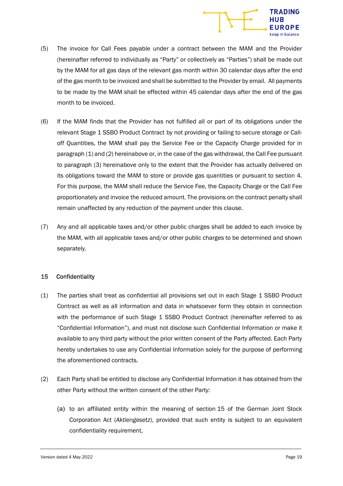

- (5) The invoice for Call Fees payable under a contract between the MAM and the Provider (hereinafter referred to individually as "Party" or collectively as "Parties") shall be made out by the MAM for all gas days of the relevant gas month within 30 calendar days after the end of the gas month to be invoiced and shall be submitted to the Provider by email. All payments to be made by the MAM shall be effected within 45 calendar days after the end of the gas month to be invoiced.
- (6) If the MAM finds that the Provider has not fulfilled all or part of its obligations under the relevant Stage 1 SSBO Product Contract by not providing or failing to secure storage or Calloff Quantities, the MAM shall pay the Service Fee or the Capacity Charge provided for in paragraph (1) and (2) hereinabove or, in the case of the gas withdrawal, the Call Fee pursuant to paragraph (3) hereinabove only to the extent that the Provider has actually delivered on its obligations toward the MAM to store or provide gas quantities or pursuant to section 4. For this purpose, the MAM shall reduce the Service Fee, the Capacity Charge or the Call Fee proportionately and invoice the reduced amount. The provisions on the contract penalty shall remain unaffected by any reduction of the payment under this clause.
- (7) Any and all applicable taxes and/or other public charges shall be added to each invoice by the MAM, with all applicable taxes and/or other public charges to be determined and shown separately.

# 15 Confidentiality

- (1) The parties shall treat as confidential all provisions set out in each Stage 1 SSBO Product Contract as well as all information and data in whatsoever form they obtain in connection with the performance of such Stage 1 SSBO Product Contract (hereinafter referred to as "Confidential Information"), and must not disclose such Confidential Information or make it available to any third party without the prior written consent of the Party affected. Each Party hereby undertakes to use any Confidential Information solely for the purpose of performing the aforementioned contracts.
- (2) Each Party shall be entitled to disclose any Confidential Information it has obtained from the other Party without the written consent of the other Party:
	- (a) to an affiliated entity within the meaning of section 15 of the German Joint Stock Corporation Act (Aktiengesetz), provided that such entity is subject to an equivalent confidentiality requirement,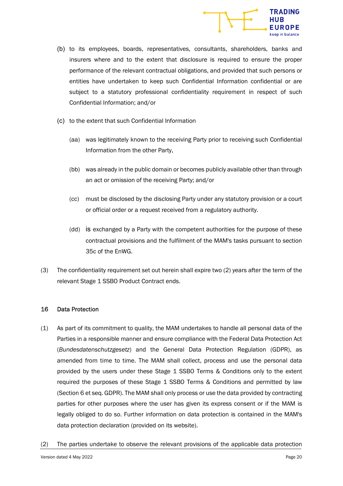

- (b) to its employees, boards, representatives, consultants, shareholders, banks and insurers where and to the extent that disclosure is required to ensure the proper performance of the relevant contractual obligations, and provided that such persons or entities have undertaken to keep such Confidential Information confidential or are subject to a statutory professional confidentiality requirement in respect of such Confidential Information; and/or
- (c) to the extent that such Confidential Information
	- (aa) was legitimately known to the receiving Party prior to receiving such Confidential Information from the other Party,
	- (bb) was already in the public domain or becomes publicly available other than through an act or omission of the receiving Party; and/or
	- (cc) must be disclosed by the disclosing Party under any statutory provision or a court or official order or a request received from a regulatory authority.
	- (dd) is exchanged by a Party with the competent authorities for the purpose of these contractual provisions and the fulfilment of the MAM's tasks pursuant to section 35c of the EnWG.
- (3) The confidentiality requirement set out herein shall expire two (2) years after the term of the relevant Stage 1 SSBO Product Contract ends.

# 16 Data Protection

- (1) As part of its commitment to quality, the MAM undertakes to handle all personal data of the Parties in a responsible manner and ensure compliance with the Federal Data Protection Act (Bundesdatenschutzgesetz) and the General Data Protection Regulation (GDPR), as amended from time to time. The MAM shall collect, process and use the personal data provided by the users under these Stage 1 SSBO Terms & Conditions only to the extent required the purposes of these Stage 1 SSBO Terms & Conditions and permitted by law (Section 6 et seq. GDPR). The MAM shall only process or use the data provided by contracting parties for other purposes where the user has given its express consent or if the MAM is legally obliged to do so. Further information on data protection is contained in the MAM's data protection declaration (provided on its website).
- (2) The parties undertake to observe the relevant provisions of the applicable data protection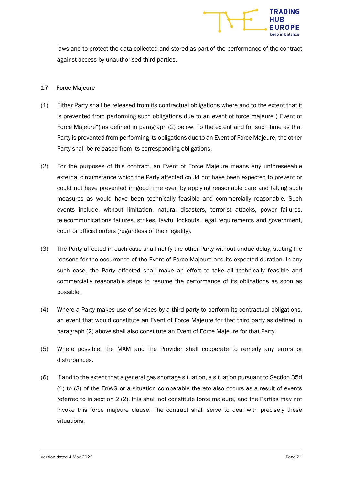

laws and to protect the data collected and stored as part of the performance of the contract against access by unauthorised third parties.

#### 17 Force Majeure

- (1) Either Party shall be released from its contractual obligations where and to the extent that it is prevented from performing such obligations due to an event of force majeure ("Event of Force Majeure") as defined in paragraph (2) below. To the extent and for such time as that Party is prevented from performing its obligations due to an Event of Force Majeure, the other Party shall be released from its corresponding obligations.
- (2) For the purposes of this contract, an Event of Force Majeure means any unforeseeable external circumstance which the Party affected could not have been expected to prevent or could not have prevented in good time even by applying reasonable care and taking such measures as would have been technically feasible and commercially reasonable. Such events include, without limitation, natural disasters, terrorist attacks, power failures, telecommunications failures, strikes, lawful lockouts, legal requirements and government, court or official orders (regardless of their legality).
- (3) The Party affected in each case shall notify the other Party without undue delay, stating the reasons for the occurrence of the Event of Force Majeure and its expected duration. In any such case, the Party affected shall make an effort to take all technically feasible and commercially reasonable steps to resume the performance of its obligations as soon as possible.
- (4) Where a Party makes use of services by a third party to perform its contractual obligations, an event that would constitute an Event of Force Majeure for that third party as defined in paragraph (2) above shall also constitute an Event of Force Majeure for that Party.
- (5) Where possible, the MAM and the Provider shall cooperate to remedy any errors or disturbances.
- (6) If and to the extent that a general gas shortage situation, a situation pursuant to Section 35d (1) to (3) of the EnWG or a situation comparable thereto also occurs as a result of events referred to in section 2 (2), this shall not constitute force majeure, and the Parties may not invoke this force majeure clause. The contract shall serve to deal with precisely these situations.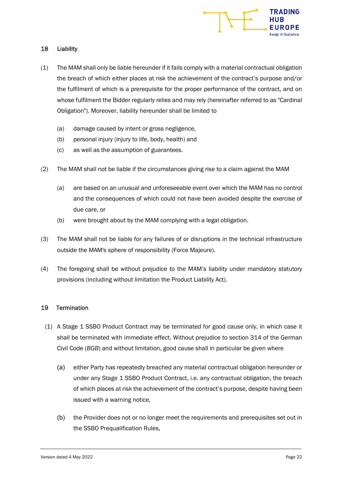

## 18 Liability

- (1) The MAM shall only be liable hereunder if it fails comply with a material contractual obligation the breach of which either places at risk the achievement of the contract's purpose and/or the fulfilment of which is a prerequisite for the proper performance of the contract, and on whose fulfilment the Bidder regularly relies and may rely (hereinafter referred to as "Cardinal Obligation"). Moreover, liability hereunder shall be limited to
	- (a) damage caused by intent or gross negligence,
	- (b) personal injury (injury to life, body, health) and
	- (c) as well as the assumption of guarantees.
- (2) The MAM shall not be liable if the circumstances giving rise to a claim against the MAM
	- (a) are based on an unusual and unforeseeable event over which the MAM has no control and the consequences of which could not have been avoided despite the exercise of due care, or
	- (b) were brought about by the MAM complying with a legal obligation.
- (3) The MAM shall not be liable for any failures of or disruptions in the technical infrastructure outside the MAM's sphere of responsibility (Force Majeure).
- (4) The foregoing shall be without prejudice to the MAM's liability under mandatory statutory provisions (including without limitation the Product Liability Act).

# 19 Termination

- (1) A Stage 1 SSBO Product Contract may be terminated for good cause only, in which case it shall be terminated with immediate effect. Without prejudice to section 314 of the German Civil Code (BGB) and without limitation, good cause shall in particular be given where
	- (a) either Party has repeatedly breached any material contractual obligation hereunder or under any Stage 1 SSBO Product Contract, i.e. any contractual obligation, the breach of which places at risk the achievement of the contract's purpose, despite having been issued with a warning notice,
	- (b) the Provider does not or no longer meet the requirements and prerequisites set out in the SSBO Prequalification Rules,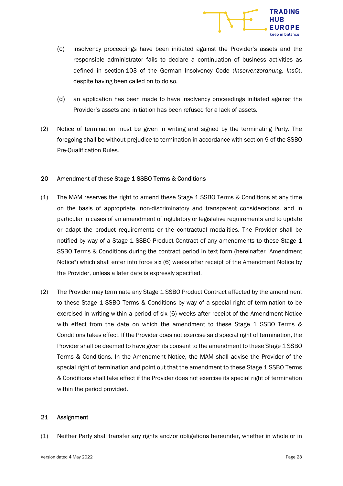

- (c) insolvency proceedings have been initiated against the Provider's assets and the responsible administrator fails to declare a continuation of business activities as defined in section 103 of the German Insolvency Code (Insolvenzordnung, InsO), despite having been called on to do so,
- (d) an application has been made to have insolvency proceedings initiated against the Provider's assets and initiation has been refused for a lack of assets.
- (2) Notice of termination must be given in writing and signed by the terminating Party. The foregoing shall be without prejudice to termination in accordance with section 9 of the SSBO Pre-Qualification Rules.

#### 20 Amendment of these Stage 1 SSBO Terms & Conditions

- (1) The MAM reserves the right to amend these Stage 1 SSBO Terms & Conditions at any time on the basis of appropriate, non-discriminatory and transparent considerations, and in particular in cases of an amendment of regulatory or legislative requirements and to update or adapt the product requirements or the contractual modalities. The Provider shall be notified by way of a Stage 1 SSBO Product Contract of any amendments to these Stage 1 SSBO Terms & Conditions during the contract period in text form (hereinafter "Amendment Notice") which shall enter into force six (6) weeks after receipt of the Amendment Notice by the Provider, unless a later date is expressly specified.
- (2) The Provider may terminate any Stage 1 SSBO Product Contract affected by the amendment to these Stage 1 SSBO Terms & Conditions by way of a special right of termination to be exercised in writing within a period of six (6) weeks after receipt of the Amendment Notice with effect from the date on which the amendment to these Stage 1 SSBO Terms & Conditions takes effect. If the Provider does not exercise said special right of termination, the Provider shall be deemed to have given its consent to the amendment to these Stage 1 SSBO Terms & Conditions. In the Amendment Notice, the MAM shall advise the Provider of the special right of termination and point out that the amendment to these Stage 1 SSBO Terms & Conditions shall take effect if the Provider does not exercise its special right of termination within the period provided.

#### 21 Assignment

(1) Neither Party shall transfer any rights and/or obligations hereunder, whether in whole or in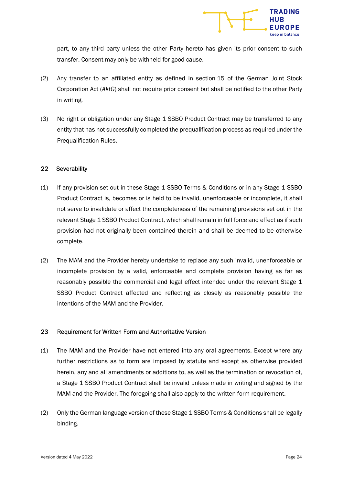

part, to any third party unless the other Party hereto has given its prior consent to such transfer. Consent may only be withheld for good cause.

- (2) Any transfer to an affiliated entity as defined in section 15 of the German Joint Stock Corporation Act (AktG) shall not require prior consent but shall be notified to the other Party in writing.
- (3) No right or obligation under any Stage 1 SSBO Product Contract may be transferred to any entity that has not successfully completed the prequalification process as required under the Prequalification Rules.

#### 22 Severability

- (1) If any provision set out in these Stage 1 SSBO Terms & Conditions or in any Stage 1 SSBO Product Contract is, becomes or is held to be invalid, unenforceable or incomplete, it shall not serve to invalidate or affect the completeness of the remaining provisions set out in the relevant Stage 1 SSBO Product Contract, which shall remain in full force and effect as if such provision had not originally been contained therein and shall be deemed to be otherwise complete.
- (2) The MAM and the Provider hereby undertake to replace any such invalid, unenforceable or incomplete provision by a valid, enforceable and complete provision having as far as reasonably possible the commercial and legal effect intended under the relevant Stage 1 SSBO Product Contract affected and reflecting as closely as reasonably possible the intentions of the MAM and the Provider.

#### 23 Requirement for Written Form and Authoritative Version

- (1) The MAM and the Provider have not entered into any oral agreements. Except where any further restrictions as to form are imposed by statute and except as otherwise provided herein, any and all amendments or additions to, as well as the termination or revocation of, a Stage 1 SSBO Product Contract shall be invalid unless made in writing and signed by the MAM and the Provider. The foregoing shall also apply to the written form requirement.
- (2) Only the German language version of these Stage 1 SSBO Terms & Conditions shall be legally binding.